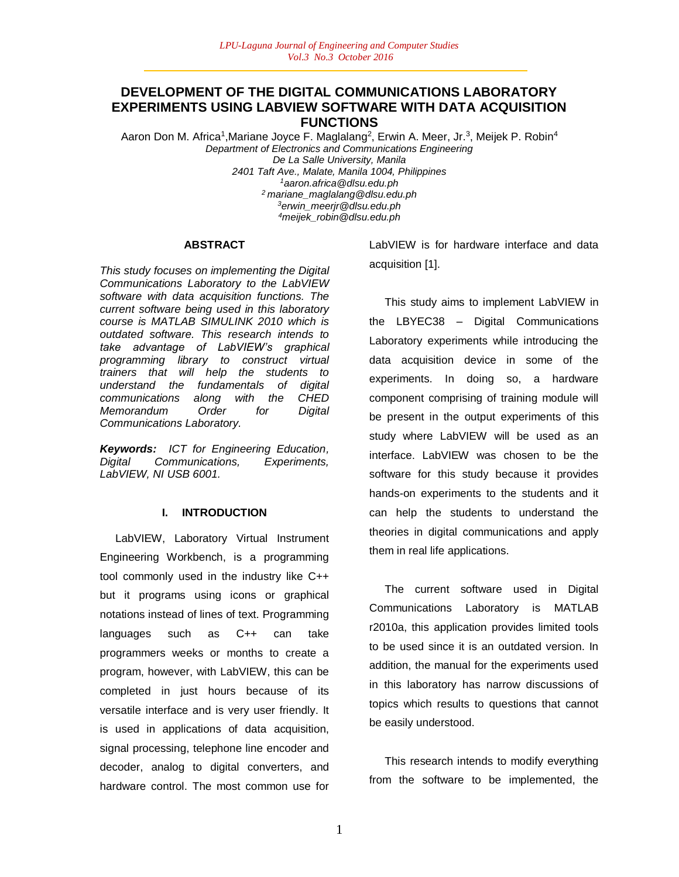# **DEVELOPMENT OF THE DIGITAL COMMUNICATIONS LABORATORY EXPERIMENTS USING LABVIEW SOFTWARE WITH DATA ACQUISITION FUNCTIONS**

Aaron Don M. Africa<sup>1</sup>, Mariane Joyce F. Maglalang<sup>2</sup>, Erwin A. Meer, Jr.<sup>3</sup>, Meijek P. Robin<sup>4</sup> *Department of Electronics and Communications Engineering De La Salle University, Manila 2401 Taft Ave., Malate, Manila 1004, Philippines <sup>1</sup>aaron.africa@dlsu.edu.ph <sup>2</sup>mariane\_maglalang@dlsu.edu.ph <sup>3</sup>erwin\_meerjr@dlsu.edu.ph <sup>4</sup>meijek\_robin@dlsu.edu.ph*

#### **ABSTRACT**

*This study focuses on implementing the Digital Communications Laboratory to the LabVIEW software with data acquisition functions. The current software being used in this laboratory course is MATLAB SIMULINK 2010 which is outdated software. This research intends to take advantage of LabVIEW's graphical programming library to construct virtual trainers that will help the students to understand the fundamentals of digital communications along with the CHED Memorandum Order for Digital Communications Laboratory.*

*Keywords: ICT for Engineering Education, Digital Communications, Experiments, LabVIEW, NI USB 6001.*

### **I. INTRODUCTION**

 LabVIEW, Laboratory Virtual Instrument Engineering Workbench, is a programming tool commonly used in the industry like C++ but it programs using icons or graphical notations instead of lines of text. Programming languages such as C++ can take programmers weeks or months to create a program, however, with LabVIEW, this can be completed in just hours because of its versatile interface and is very user friendly. It is used in applications of data acquisition, signal processing, telephone line encoder and decoder, analog to digital converters, and hardware control. The most common use for LabVIEW is for hardware interface and data acquisition [1].

 This study aims to implement LabVIEW in the LBYEC38 – Digital Communications Laboratory experiments while introducing the data acquisition device in some of the experiments. In doing so, a hardware component comprising of training module will be present in the output experiments of this study where LabVIEW will be used as an interface. LabVIEW was chosen to be the software for this study because it provides hands-on experiments to the students and it can help the students to understand the theories in digital communications and apply them in real life applications.

 The current software used in Digital Communications Laboratory is MATLAB r2010a, this application provides limited tools to be used since it is an outdated version. In addition, the manual for the experiments used in this laboratory has narrow discussions of topics which results to questions that cannot be easily understood.

 This research intends to modify everything from the software to be implemented, the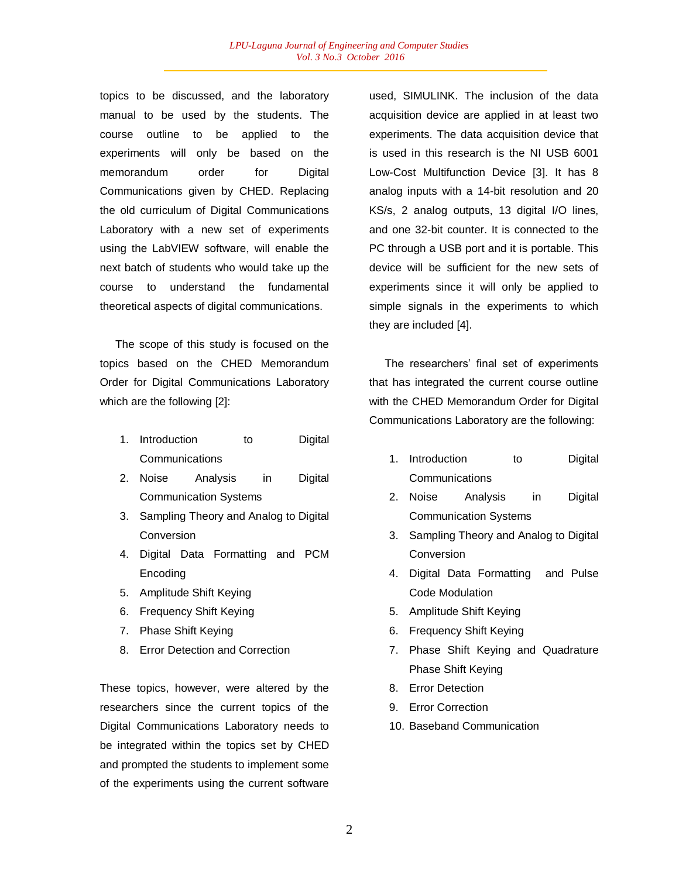topics to be discussed, and the laboratory manual to be used by the students. The course outline to be applied to the experiments will only be based on the memorandum order for Digital Communications given by CHED. Replacing the old curriculum of Digital Communications Laboratory with a new set of experiments using the LabVIEW software, will enable the next batch of students who would take up the course to understand the fundamental theoretical aspects of digital communications.

 The scope of this study is focused on the topics based on the CHED Memorandum Order for Digital Communications Laboratory which are the following [2]:

- 1. Introduction to Digital **Communications**
- 2. Noise Analysis in Digital Communication Systems
- 3. Sampling Theory and Analog to Digital **Conversion**
- 4. Digital Data Formatting and PCM Encoding
- 5. Amplitude Shift Keying
- 6. Frequency Shift Keying
- 7. Phase Shift Keying
- 8. Error Detection and Correction

These topics, however, were altered by the researchers since the current topics of the Digital Communications Laboratory needs to be integrated within the topics set by CHED and prompted the students to implement some of the experiments using the current software

used, SIMULINK. The inclusion of the data acquisition device are applied in at least two experiments. The data acquisition device that is used in this research is the NI USB 6001 Low-Cost Multifunction Device [3]. It has 8 analog inputs with a 14-bit resolution and 20 KS/s, 2 analog outputs, 13 digital I/O lines, and one 32-bit counter. It is connected to the PC through a USB port and it is portable. This device will be sufficient for the new sets of experiments since it will only be applied to simple signals in the experiments to which they are included [4].

 The researchers' final set of experiments that has integrated the current course outline with the CHED Memorandum Order for Digital Communications Laboratory are the following:

- 1. Introduction to Digital **Communications**
- 2. Noise Analysis in Digital Communication Systems
- 3. Sampling Theory and Analog to Digital Conversion
- 4. Digital Data Formatting and Pulse Code Modulation
- 5. Amplitude Shift Keying
- 6. Frequency Shift Keying
- 7. Phase Shift Keying and Quadrature Phase Shift Keying
- 8. Error Detection
- 9. Error Correction
- 10. Baseband Communication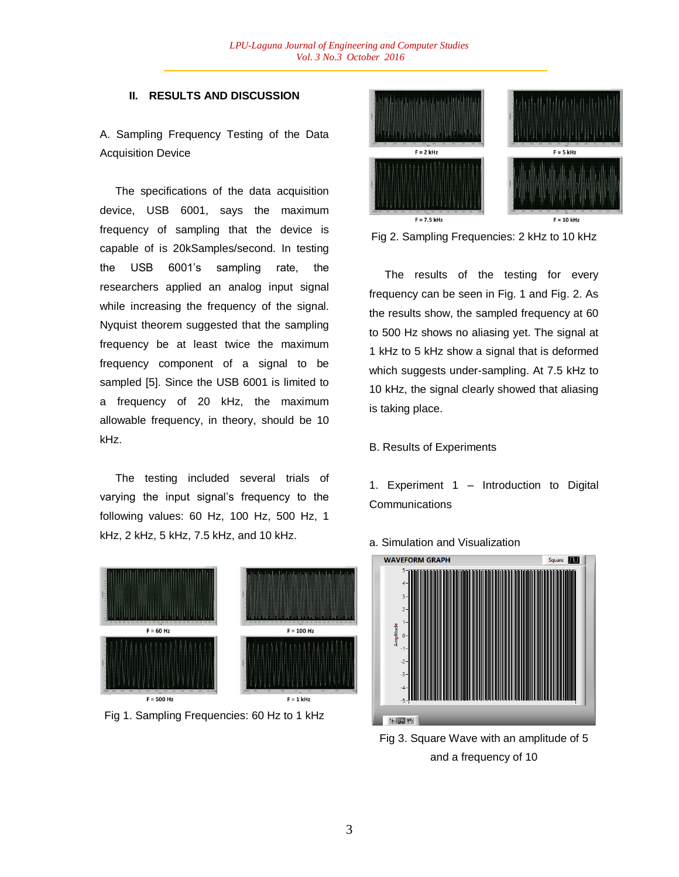#### **II. RESULTS AND DISCUSSION**

A. Sampling Frequency Testing of the Data Acquisition Device

 The specifications of the data acquisition device, USB 6001, says the maximum frequency of sampling that the device is capable of is 20kSamples/second. In testing the USB 6001's sampling rate, the researchers applied an analog input signal while increasing the frequency of the signal. Nyquist theorem suggested that the sampling frequency be at least twice the maximum frequency component of a signal to be sampled [5]. Since the USB 6001 is limited to a frequency of 20 kHz, the maximum allowable frequency, in theory, should be 10 kHz.

 The testing included several trials of varying the input signal's frequency to the following values: 60 Hz, 100 Hz, 500 Hz, 1 kHz, 2 kHz, 5 kHz, 7.5 kHz, and 10 kHz.



Fig 1. Sampling Frequencies: 60 Hz to 1 kHz



Fig 2. Sampling Frequencies: 2 kHz to 10 kHz

 The results of the testing for every frequency can be seen in Fig. 1 and Fig. 2. As the results show, the sampled frequency at 60 to 500 Hz shows no aliasing yet. The signal at 1 kHz to 5 kHz show a signal that is deformed which suggests under-sampling. At 7.5 kHz to 10 kHz, the signal clearly showed that aliasing is taking place.

#### B. Results of Experiments

1. Experiment 1 – Introduction to Digital **Communications** 



#### a. Simulation and Visualization

Fig 3. Square Wave with an amplitude of 5 and a frequency of 10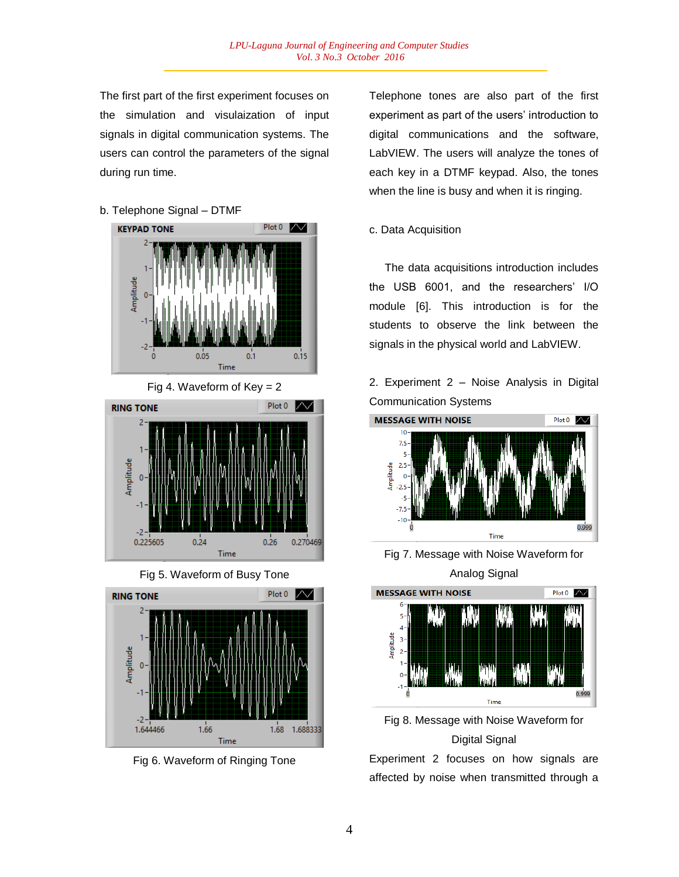The first part of the first experiment focuses on the simulation and visulaization of input signals in digital communication systems. The users can control the parameters of the signal during run time.

b. Telephone Signal – DTMF









Fig 6. Waveform of Ringing Tone

Telephone tones are also part of the first experiment as part of the users' introduction to digital communications and the software, LabVIEW. The users will analyze the tones of each key in a DTMF keypad. Also, the tones when the line is busy and when it is ringing.

## c. Data Acquisition

 The data acquisitions introduction includes the USB 6001, and the researchers' I/O module [6]. This introduction is for the students to observe the link between the signals in the physical world and LabVIEW.

2. Experiment 2 – Noise Analysis in Digital Communication Systems



Fig 7. Message with Noise Waveform for Analog Signal





Experiment 2 focuses on how signals are affected by noise when transmitted through a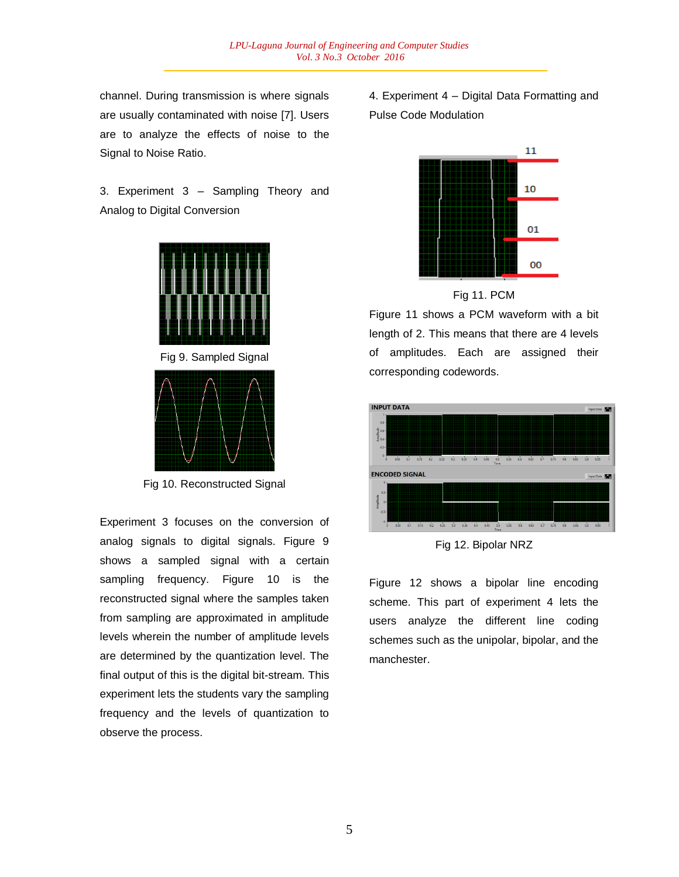channel. During transmission is where signals are usually contaminated with noise [7]. Users are to analyze the effects of noise to the Signal to Noise Ratio.

3. Experiment 3 – Sampling Theory and Analog to Digital Conversion



Fig 9. Sampled Signal



Fig 10. Reconstructed Signal

Experiment 3 focuses on the conversion of analog signals to digital signals. Figure 9 shows a sampled signal with a certain sampling frequency. Figure 10 is the reconstructed signal where the samples taken from sampling are approximated in amplitude levels wherein the number of amplitude levels are determined by the quantization level. The final output of this is the digital bit-stream. This experiment lets the students vary the sampling frequency and the levels of quantization to observe the process.

4. Experiment 4 – Digital Data Formatting and Pulse Code Modulation





Figure 11 shows a PCM waveform with a bit length of 2. This means that there are 4 levels of amplitudes. Each are assigned their corresponding codewords.



Fig 12. Bipolar NRZ

Figure 12 shows a bipolar line encoding scheme. This part of experiment 4 lets the users analyze the different line coding schemes such as the unipolar, bipolar, and the manchester.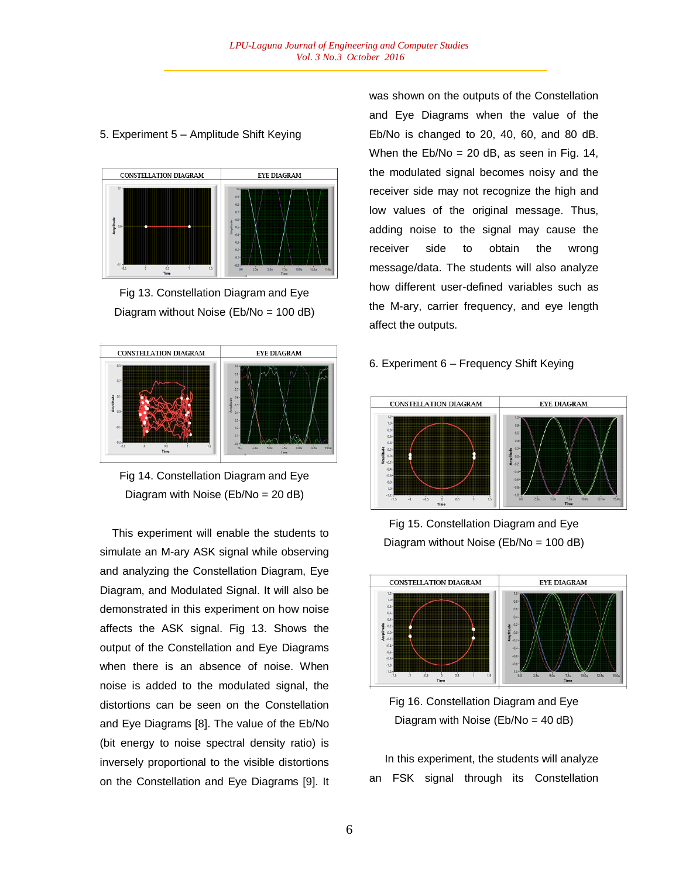## 5. Experiment 5 – Amplitude Shift Keying



Fig 13. Constellation Diagram and Eye Diagram without Noise (Eb/No = 100 dB)





 This experiment will enable the students to simulate an M-ary ASK signal while observing and analyzing the Constellation Diagram, Eye Diagram, and Modulated Signal. It will also be demonstrated in this experiment on how noise affects the ASK signal. Fig 13. Shows the output of the Constellation and Eye Diagrams when there is an absence of noise. When noise is added to the modulated signal, the distortions can be seen on the Constellation and Eye Diagrams [8]. The value of the Eb/No (bit energy to noise spectral density ratio) is inversely proportional to the visible distortions on the Constellation and Eye Diagrams [9]. It

was shown on the outputs of the Constellation and Eye Diagrams when the value of the Eb/No is changed to 20, 40, 60, and 80 dB. When the  $Eb/No = 20 dB$ , as seen in Fig. 14, the modulated signal becomes noisy and the receiver side may not recognize the high and low values of the original message. Thus, adding noise to the signal may cause the receiver side to obtain the wrong message/data. The students will also analyze how different user-defined variables such as the M-ary, carrier frequency, and eye length affect the outputs.

## 6. Experiment 6 – Frequency Shift Keying



Fig 15. Constellation Diagram and Eye Diagram without Noise (Eb/No = 100 dB)



Fig 16. Constellation Diagram and Eye Diagram with Noise (Eb/No = 40 dB)

 In this experiment, the students will analyze an FSK signal through its Constellation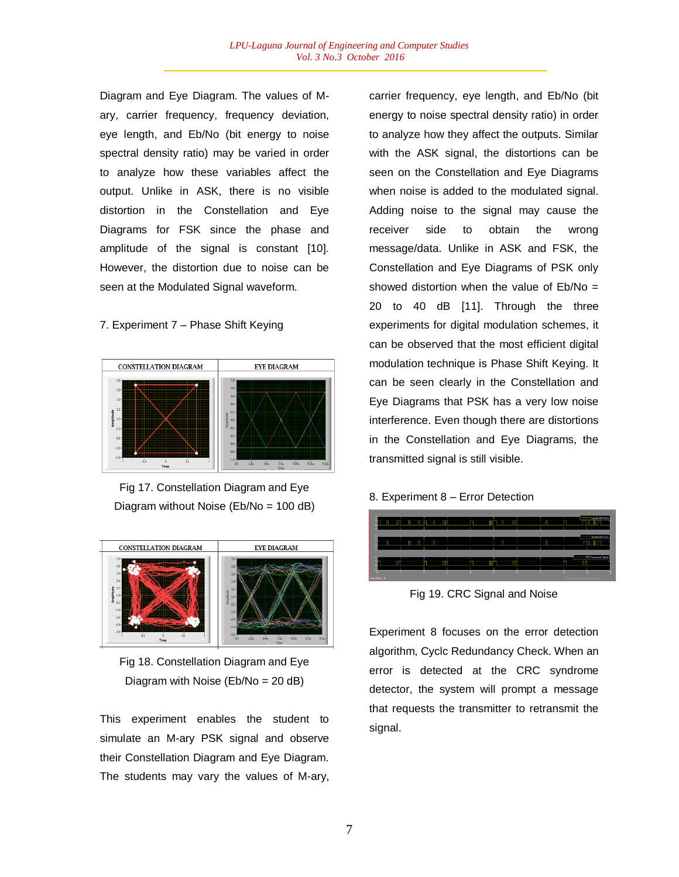Diagram and Eye Diagram. The values of Mary, carrier frequency, frequency deviation, eye length, and Eb/No (bit energy to noise spectral density ratio) may be varied in order to analyze how these variables affect the output. Unlike in ASK, there is no visible distortion in the Constellation and Eye Diagrams for FSK since the phase and amplitude of the signal is constant [10]. However, the distortion due to noise can be seen at the Modulated Signal waveform.

### 7. Experiment 7 – Phase Shift Keying



Fig 17. Constellation Diagram and Eye Diagram without Noise (Eb/No = 100 dB)



Fig 18. Constellation Diagram and Eye Diagram with Noise (Eb/No = 20 dB)

This experiment enables the student to simulate an M-ary PSK signal and observe their Constellation Diagram and Eye Diagram. The students may vary the values of M-ary,

carrier frequency, eye length, and Eb/No (bit energy to noise spectral density ratio) in order to analyze how they affect the outputs. Similar with the ASK signal, the distortions can be seen on the Constellation and Eye Diagrams when noise is added to the modulated signal. Adding noise to the signal may cause the receiver side to obtain the wrong message/data. Unlike in ASK and FSK, the Constellation and Eye Diagrams of PSK only showed distortion when the value of Eb/No = 20 to 40 dB [11]. Through the three experiments for digital modulation schemes, it can be observed that the most efficient digital modulation technique is Phase Shift Keying. It can be seen clearly in the Constellation and Eye Diagrams that PSK has a very low noise interference. Even though there are distortions in the Constellation and Eye Diagrams, the transmitted signal is still visible.

### 8. Experiment 8 – Error Detection



Fig 19. CRC Signal and Noise

Experiment 8 focuses on the error detection algorithm, Cyclc Redundancy Check. When an error is detected at the CRC syndrome detector, the system will prompt a message that requests the transmitter to retransmit the signal.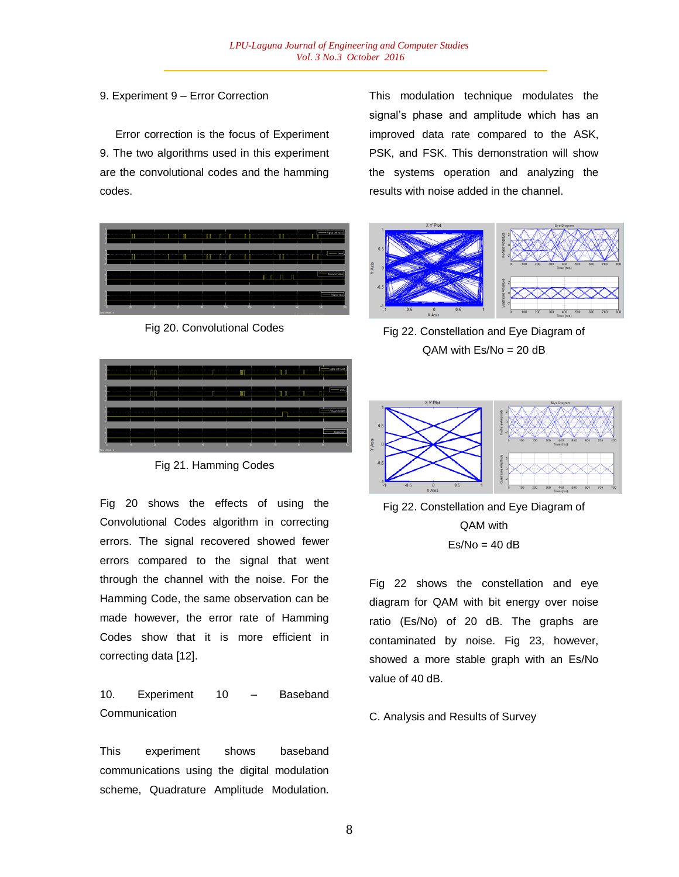9. Experiment 9 – Error Correction

 Error correction is the focus of Experiment 9. The two algorithms used in this experiment are the convolutional codes and the hamming codes.

|                |  |   |      |                                                                                                                                      |                       | Signal mith noise |
|----------------|--|---|------|--------------------------------------------------------------------------------------------------------------------------------------|-----------------------|-------------------|
|                |  | . |      | where the second products as a second to a control the company where the control of the control of the control of the company of the |                       | Enon              |
|                |  |   |      |                                                                                                                                      | www.communication.com | Recovered data    |
| $\overline{a}$ |  |   | 5.20 | 140                                                                                                                                  | tan                   | Digital data      |
| Time offset 0  |  |   |      |                                                                                                                                      | Activate Windows      |                   |

Fig 20. Convolutional Codes

|  |                   | Signal with noise |
|--|-------------------|-------------------|
|  | ------------<br>. |                   |
|  |                   | Recovered date    |
|  | m                 | Daginal data      |

Fig 21. Hamming Codes

Fig 20 shows the effects of using the Convolutional Codes algorithm in correcting errors. The signal recovered showed fewer errors compared to the signal that went through the channel with the noise. For the Hamming Code, the same observation can be made however, the error rate of Hamming Codes show that it is more efficient in correcting data [12].

# 10. Experiment 10 – Baseband **Communication**

This experiment shows baseband communications using the digital modulation scheme, Quadrature Amplitude Modulation.

This modulation technique modulates the signal's phase and amplitude which has an improved data rate compared to the ASK, PSK, and FSK. This demonstration will show the systems operation and analyzing the results with noise added in the channel.



Fig 22. Constellation and Eye Diagram of  $QAM$  with  $Es/No = 20 dB$ 



Fig 22. Constellation and Eye Diagram of QAM with  $Es/No = 40 dB$ 

Fig 22 shows the constellation and eye diagram for QAM with bit energy over noise ratio (Es/No) of 20 dB. The graphs are contaminated by noise. Fig 23, however, showed a more stable graph with an Es/No value of 40 dB.

### C. Analysis and Results of Survey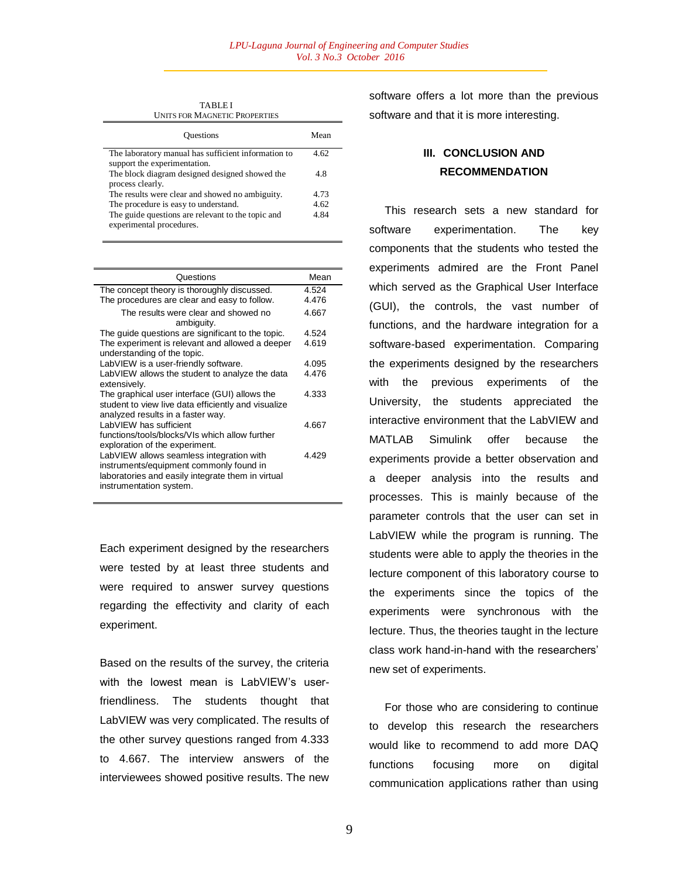UNITS FOR MAGNETIC PROPERTIES Questions Mean The laboratory manual has sufficient information to support the experimentation. 4.62 The block diagram designed designed showed the process clearly. 4.8 The results were clear and showed no ambiguity. 4.73 The procedure is easy to understand. 4.62 The guide questions are relevant to the topic and experimental procedures. 4.84

TABLE I

| Questions                                                                                                                                                           | Mean  |
|---------------------------------------------------------------------------------------------------------------------------------------------------------------------|-------|
| The concept theory is thoroughly discussed.                                                                                                                         | 4.524 |
| The procedures are clear and easy to follow.                                                                                                                        | 4.476 |
| The results were clear and showed no<br>ambiguity.                                                                                                                  | 4.667 |
| The guide questions are significant to the topic.                                                                                                                   | 4.524 |
| The experiment is relevant and allowed a deeper<br>understanding of the topic.                                                                                      | 4.619 |
| LabVIEW is a user-friendly software.                                                                                                                                | 4.095 |
| LabVIEW allows the student to analyze the data<br>extensively.                                                                                                      | 4.476 |
| The graphical user interface (GUI) allows the<br>student to view live data efficiently and visualize<br>analyzed results in a faster way.                           | 4.333 |
| LabVIEW has sufficient<br>functions/tools/blocks/VIs which allow further<br>exploration of the experiment.                                                          | 4.667 |
| LabVIEW allows seamless integration with<br>instruments/equipment commonly found in<br>laboratories and easily integrate them in virtual<br>instrumentation system. | 4.429 |

Each experiment designed by the researchers were tested by at least three students and were required to answer survey questions regarding the effectivity and clarity of each experiment.

Based on the results of the survey, the criteria with the lowest mean is LabVIEW's userfriendliness. The students thought that LabVIEW was very complicated. The results of the other survey questions ranged from 4.333 to 4.667. The interview answers of the interviewees showed positive results. The new software offers a lot more than the previous software and that it is more interesting.

# **III. CONCLUSION AND RECOMMENDATION**

 This research sets a new standard for software experimentation. The key components that the students who tested the experiments admired are the Front Panel which served as the Graphical User Interface (GUI), the controls, the vast number of functions, and the hardware integration for a software-based experimentation. Comparing the experiments designed by the researchers with the previous experiments of the University, the students appreciated the interactive environment that the LabVIEW and MATLAB Simulink offer because the experiments provide a better observation and a deeper analysis into the results and processes. This is mainly because of the parameter controls that the user can set in LabVIEW while the program is running. The students were able to apply the theories in the lecture component of this laboratory course to the experiments since the topics of the experiments were synchronous with the lecture. Thus, the theories taught in the lecture class work hand-in-hand with the researchers' new set of experiments.

 For those who are considering to continue to develop this research the researchers would like to recommend to add more DAQ functions focusing more on digital communication applications rather than using